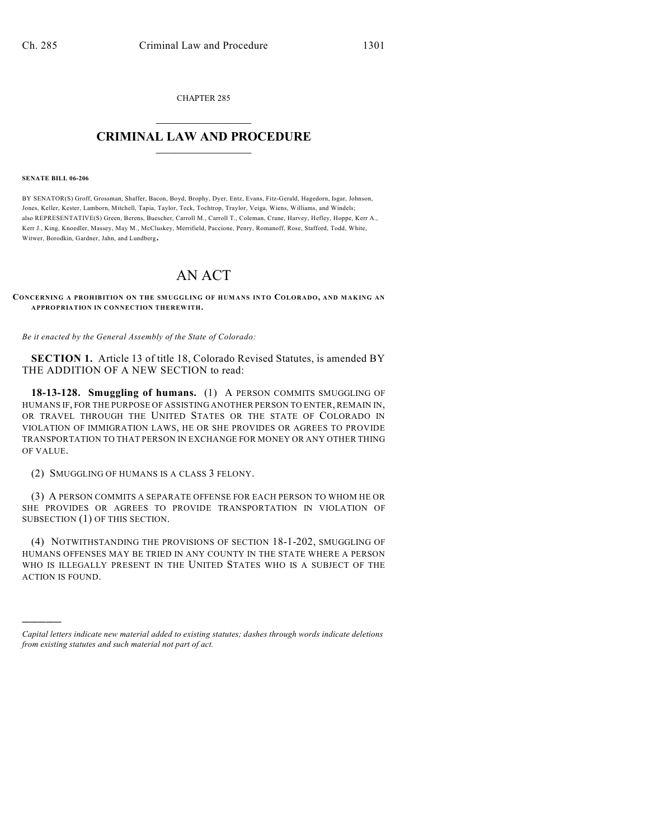CHAPTER 285  $\mathcal{L}_\text{max}$  . The set of the set of the set of the set of the set of the set of the set of the set of the set of the set of the set of the set of the set of the set of the set of the set of the set of the set of the set

## **CRIMINAL LAW AND PROCEDURE**  $\frac{1}{2}$  ,  $\frac{1}{2}$  ,  $\frac{1}{2}$  ,  $\frac{1}{2}$  ,  $\frac{1}{2}$  ,  $\frac{1}{2}$  ,  $\frac{1}{2}$

## **SENATE BILL 06-206**

)))))

BY SENATOR(S) Groff, Grossman, Shaffer, Bacon, Boyd, Brophy, Dyer, Entz, Evans, Fitz-Gerald, Hagedorn, Isgar, Johnson, Jones, Keller, Kester, Lamborn, Mitchell, Tapia, Taylor, Teck, Tochtrop, Traylor, Veiga, Wiens, Williams, and Windels; also REPRESENTATIVE(S) Green, Berens, Buescher, Carroll M., Carroll T., Coleman, Crane, Harvey, Hefley, Hoppe, Kerr A., Kerr J., King, Knoedler, Massey, May M., McCluskey, Merrifield, Paccione, Penry, Romanoff, Rose, Stafford, Todd, White, Witwer, Borodkin, Gardner, Jahn, and Lundberg.

## AN ACT

**CONCERNING A PROHIBITION ON THE SMUGGLING OF HUMANS IN TO COLORADO, AND MAKING AN APPROPRIATION IN CONNECTION THEREWITH.**

*Be it enacted by the General Assembly of the State of Colorado:*

**SECTION 1.** Article 13 of title 18, Colorado Revised Statutes, is amended BY THE ADDITION OF A NEW SECTION to read:

**18-13-128. Smuggling of humans.** (1) A PERSON COMMITS SMUGGLING OF HUMANS IF, FOR THE PURPOSE OF ASSISTING ANOTHER PERSON TO ENTER, REMAIN IN, OR TRAVEL THROUGH THE UNITED STATES OR THE STATE OF COLORADO IN VIOLATION OF IMMIGRATION LAWS, HE OR SHE PROVIDES OR AGREES TO PROVIDE TRANSPORTATION TO THAT PERSON IN EXCHANGE FOR MONEY OR ANY OTHER THING OF VALUE.

(2) SMUGGLING OF HUMANS IS A CLASS 3 FELONY.

(3) A PERSON COMMITS A SEPARATE OFFENSE FOR EACH PERSON TO WHOM HE OR SHE PROVIDES OR AGREES TO PROVIDE TRANSPORTATION IN VIOLATION OF SUBSECTION (1) OF THIS SECTION.

(4) NOTWITHSTANDING THE PROVISIONS OF SECTION 18-1-202, SMUGGLING OF HUMANS OFFENSES MAY BE TRIED IN ANY COUNTY IN THE STATE WHERE A PERSON WHO IS ILLEGALLY PRESENT IN THE UNITED STATES WHO IS A SUBJECT OF THE ACTION IS FOUND.

*Capital letters indicate new material added to existing statutes; dashes through words indicate deletions from existing statutes and such material not part of act.*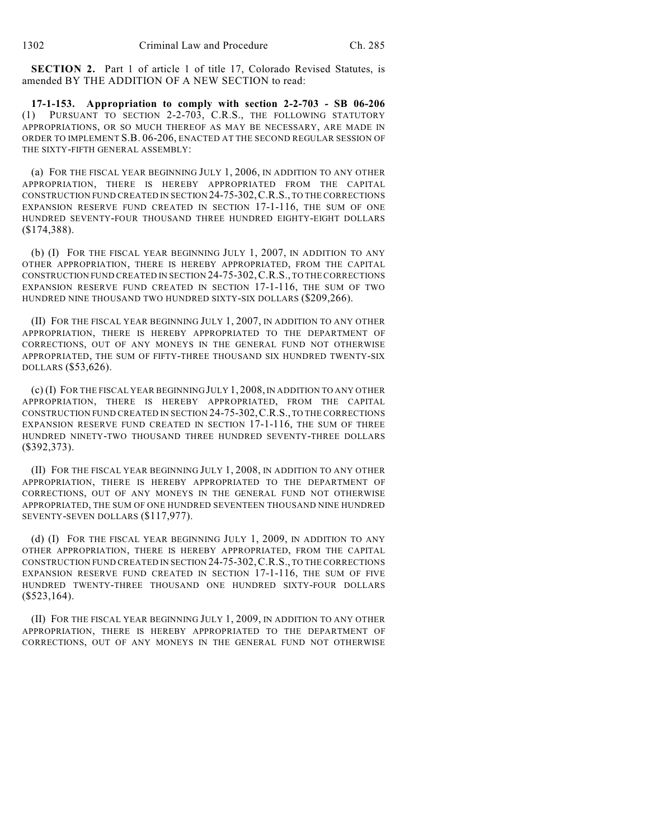**SECTION 2.** Part 1 of article 1 of title 17, Colorado Revised Statutes, is amended BY THE ADDITION OF A NEW SECTION to read:

**17-1-153. Appropriation to comply with section 2-2-703 - SB 06-206** (1) PURSUANT TO SECTION 2-2-703, C.R.S., THE FOLLOWING STATUTORY APPROPRIATIONS, OR SO MUCH THEREOF AS MAY BE NECESSARY, ARE MADE IN ORDER TO IMPLEMENT S.B. 06-206, ENACTED AT THE SECOND REGULAR SESSION OF THE SIXTY-FIFTH GENERAL ASSEMBLY:

(a) FOR THE FISCAL YEAR BEGINNING JULY 1, 2006, IN ADDITION TO ANY OTHER APPROPRIATION, THERE IS HEREBY APPROPRIATED FROM THE CAPITAL CONSTRUCTION FUND CREATED IN SECTION 24-75-302,C.R.S., TO THE CORRECTIONS EXPANSION RESERVE FUND CREATED IN SECTION 17-1-116, THE SUM OF ONE HUNDRED SEVENTY-FOUR THOUSAND THREE HUNDRED EIGHTY-EIGHT DOLLARS (\$174,388).

(b) (I) FOR THE FISCAL YEAR BEGINNING JULY 1, 2007, IN ADDITION TO ANY OTHER APPROPRIATION, THERE IS HEREBY APPROPRIATED, FROM THE CAPITAL CONSTRUCTION FUND CREATED IN SECTION 24-75-302,C.R.S., TO THE CORRECTIONS EXPANSION RESERVE FUND CREATED IN SECTION 17-1-116, THE SUM OF TWO HUNDRED NINE THOUSAND TWO HUNDRED SIXTY-SIX DOLLARS (\$209,266).

(II) FOR THE FISCAL YEAR BEGINNING JULY 1, 2007, IN ADDITION TO ANY OTHER APPROPRIATION, THERE IS HEREBY APPROPRIATED TO THE DEPARTMENT OF CORRECTIONS, OUT OF ANY MONEYS IN THE GENERAL FUND NOT OTHERWISE APPROPRIATED, THE SUM OF FIFTY-THREE THOUSAND SIX HUNDRED TWENTY-SIX DOLLARS (\$53,626).

(c) (I) FOR THE FISCAL YEAR BEGINNING JULY 1, 2008, IN ADDITION TO ANY OTHER APPROPRIATION, THERE IS HEREBY APPROPRIATED, FROM THE CAPITAL CONSTRUCTION FUND CREATED IN SECTION 24-75-302,C.R.S., TO THE CORRECTIONS EXPANSION RESERVE FUND CREATED IN SECTION 17-1-116, THE SUM OF THREE HUNDRED NINETY-TWO THOUSAND THREE HUNDRED SEVENTY-THREE DOLLARS (\$392,373).

(II) FOR THE FISCAL YEAR BEGINNING JULY 1, 2008, IN ADDITION TO ANY OTHER APPROPRIATION, THERE IS HEREBY APPROPRIATED TO THE DEPARTMENT OF CORRECTIONS, OUT OF ANY MONEYS IN THE GENERAL FUND NOT OTHERWISE APPROPRIATED, THE SUM OF ONE HUNDRED SEVENTEEN THOUSAND NINE HUNDRED SEVENTY-SEVEN DOLLARS (\$117,977).

(d) (I) FOR THE FISCAL YEAR BEGINNING JULY 1, 2009, IN ADDITION TO ANY OTHER APPROPRIATION, THERE IS HEREBY APPROPRIATED, FROM THE CAPITAL CONSTRUCTION FUND CREATED IN SECTION 24-75-302,C.R.S., TO THE CORRECTIONS EXPANSION RESERVE FUND CREATED IN SECTION 17-1-116, THE SUM OF FIVE HUNDRED TWENTY-THREE THOUSAND ONE HUNDRED SIXTY-FOUR DOLLARS  $($523,164).$ 

(II) FOR THE FISCAL YEAR BEGINNING JULY 1, 2009, IN ADDITION TO ANY OTHER APPROPRIATION, THERE IS HEREBY APPROPRIATED TO THE DEPARTMENT OF CORRECTIONS, OUT OF ANY MONEYS IN THE GENERAL FUND NOT OTHERWISE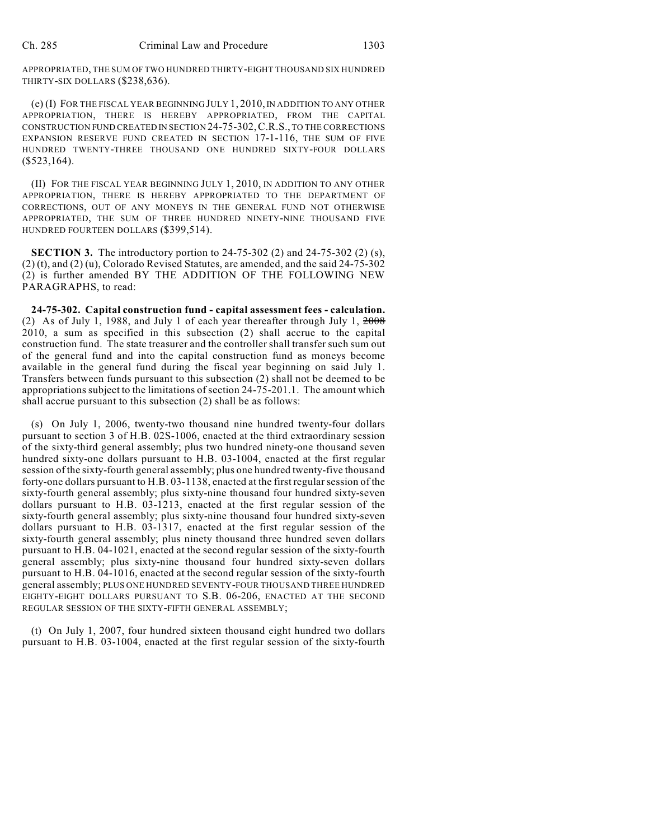APPROPRIATED, THE SUM OF TWO HUNDRED THIRTY-EIGHT THOUSAND SIX HUNDRED THIRTY-SIX DOLLARS (\$238,636).

(e) (I) FOR THE FISCAL YEAR BEGINNING JULY 1, 2010, IN ADDITION TO ANY OTHER APPROPRIATION, THERE IS HEREBY APPROPRIATED, FROM THE CAPITAL CONSTRUCTION FUND CREATED IN SECTION 24-75-302,C.R.S., TO THE CORRECTIONS EXPANSION RESERVE FUND CREATED IN SECTION 17-1-116, THE SUM OF FIVE HUNDRED TWENTY-THREE THOUSAND ONE HUNDRED SIXTY-FOUR DOLLARS  $($523,164).$ 

(II) FOR THE FISCAL YEAR BEGINNING JULY 1, 2010, IN ADDITION TO ANY OTHER APPROPRIATION, THERE IS HEREBY APPROPRIATED TO THE DEPARTMENT OF CORRECTIONS, OUT OF ANY MONEYS IN THE GENERAL FUND NOT OTHERWISE APPROPRIATED, THE SUM OF THREE HUNDRED NINETY-NINE THOUSAND FIVE HUNDRED FOURTEEN DOLLARS (\$399,514).

**SECTION 3.** The introductory portion to 24-75-302 (2) and 24-75-302 (2) (s), (2) (t), and (2) (u), Colorado Revised Statutes, are amended, and the said 24-75-302 (2) is further amended BY THE ADDITION OF THE FOLLOWING NEW PARAGRAPHS, to read:

**24-75-302. Capital construction fund - capital assessment fees - calculation.** (2) As of July 1, 1988, and July 1 of each year thereafter through July 1, 2008 2010, a sum as specified in this subsection (2) shall accrue to the capital construction fund. The state treasurer and the controller shall transfer such sum out of the general fund and into the capital construction fund as moneys become available in the general fund during the fiscal year beginning on said July 1. Transfers between funds pursuant to this subsection (2) shall not be deemed to be appropriations subject to the limitations of section 24-75-201.1. The amount which shall accrue pursuant to this subsection (2) shall be as follows:

(s) On July 1, 2006, twenty-two thousand nine hundred twenty-four dollars pursuant to section 3 of H.B. 02S-1006, enacted at the third extraordinary session of the sixty-third general assembly; plus two hundred ninety-one thousand seven hundred sixty-one dollars pursuant to H.B. 03-1004, enacted at the first regular session of the sixty-fourth general assembly; plus one hundred twenty-five thousand forty-one dollars pursuant to H.B. 03-1138, enacted at the first regular session of the sixty-fourth general assembly; plus sixty-nine thousand four hundred sixty-seven dollars pursuant to H.B. 03-1213, enacted at the first regular session of the sixty-fourth general assembly; plus sixty-nine thousand four hundred sixty-seven dollars pursuant to H.B. 03-1317, enacted at the first regular session of the sixty-fourth general assembly; plus ninety thousand three hundred seven dollars pursuant to H.B. 04-1021, enacted at the second regular session of the sixty-fourth general assembly; plus sixty-nine thousand four hundred sixty-seven dollars pursuant to H.B. 04-1016, enacted at the second regular session of the sixty-fourth general assembly; PLUS ONE HUNDRED SEVENTY-FOUR THOUSAND THREE HUNDRED EIGHTY-EIGHT DOLLARS PURSUANT TO S.B. 06-206, ENACTED AT THE SECOND REGULAR SESSION OF THE SIXTY-FIFTH GENERAL ASSEMBLY;

(t) On July 1, 2007, four hundred sixteen thousand eight hundred two dollars pursuant to H.B. 03-1004, enacted at the first regular session of the sixty-fourth